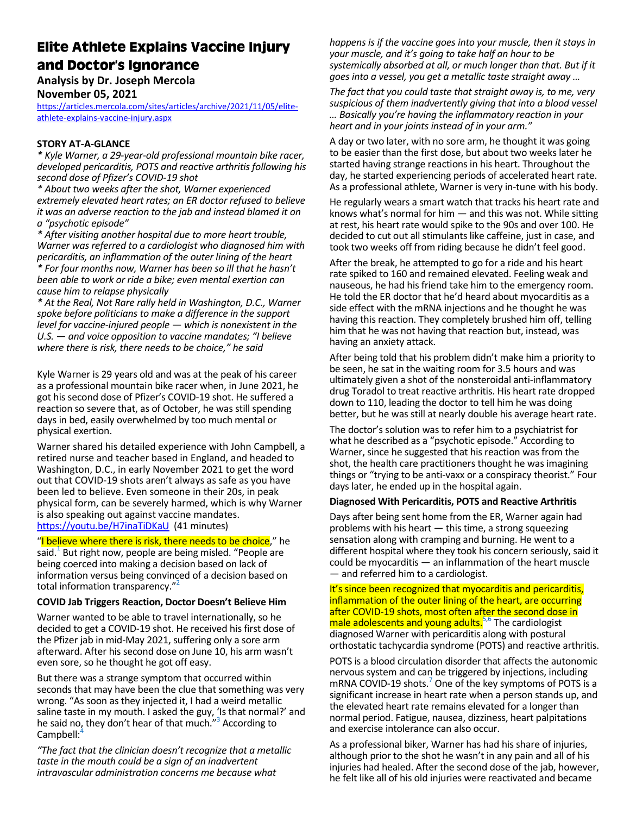# Elite Athlete Explains Vaccine Injury and Doctor's Ignorance

Analysis by Dr. Joseph Mercola November 05, 2021

https://articles.mercola.com/sites/articles/archive/2021/11/05/eliteathlete-explains-vaccine-injury.aspx

## STORY AT-A-GLANCE

\* Kyle Warner, a 29-year-old professional mountain bike racer, developed pericarditis, POTS and reactive arthritis following his second dose of Pfizer's COVID-19 shot

\* About two weeks after the shot, Warner experienced extremely elevated heart rates; an ER doctor refused to believe it was an adverse reaction to the jab and instead blamed it on a "psychotic episode"

\* After visiting another hospital due to more heart trouble, Warner was referred to a cardiologist who diagnosed him with pericarditis, an inflammation of the outer lining of the heart \* For four months now, Warner has been so ill that he hasn't been able to work or ride a bike; even mental exertion can cause him to relapse physically

\* At the Real, Not Rare rally held in Washington, D.C., Warner spoke before politicians to make a difference in the support level for vaccine-injured people — which is nonexistent in the U.S. — and voice opposition to vaccine mandates; "I believe where there is risk, there needs to be choice," he said

Kyle Warner is 29 years old and was at the peak of his career as a professional mountain bike racer when, in June 2021, he got his second dose of Pfizer's COVID-19 shot. He suffered a reaction so severe that, as of October, he was still spending days in bed, easily overwhelmed by too much mental or physical exertion.

Warner shared his detailed experience with John Campbell, a retired nurse and teacher based in England, and headed to Washington, D.C., in early November 2021 to get the word out that COVID-19 shots aren't always as safe as you have been led to believe. Even someone in their 20s, in peak physical form, can be severely harmed, which is why Warner is also speaking out against vaccine mandates. https://youtu.be/H7inaTiDKaU (41 minutes)

"I believe where there is risk, there needs to be choice," he said.<sup>1</sup> But right now, people are being misled. "People are being coerced into making a decision based on lack of

information versus being convinced of a decision based on total information transparency."

### COVID Jab Triggers Reaction, Doctor Doesn't Believe Him

Warner wanted to be able to travel internationally, so he decided to get a COVID-19 shot. He received his first dose of the Pfizer jab in mid-May 2021, suffering only a sore arm afterward. After his second dose on June 10, his arm wasn't even sore, so he thought he got off easy.

But there was a strange symptom that occurred within seconds that may have been the clue that something was very wrong. "As soon as they injected it, I had a weird metallic saline taste in my mouth. I asked the guy, 'Is that normal?' and he said no, they don't hear of that much."<sup>3</sup> According to Campbell:<sup>4</sup>

"The fact that the clinician doesn't recognize that a metallic taste in the mouth could be a sign of an inadvertent intravascular administration concerns me because what

happens is if the vaccine goes into your muscle, then it stays in your muscle, and it's going to take half an hour to be systemically absorbed at all, or much longer than that. But if it goes into a vessel, you get a metallic taste straight away …

The fact that you could taste that straight away is, to me, very suspicious of them inadvertently giving that into a blood vessel … Basically you're having the inflammatory reaction in your heart and in your joints instead of in your arm."

A day or two later, with no sore arm, he thought it was going to be easier than the first dose, but about two weeks later he started having strange reactions in his heart. Throughout the day, he started experiencing periods of accelerated heart rate. As a professional athlete, Warner is very in-tune with his body.

He regularly wears a smart watch that tracks his heart rate and knows what's normal for him  $-$  and this was not. While sitting at rest, his heart rate would spike to the 90s and over 100. He decided to cut out all stimulants like caffeine, just in case, and took two weeks off from riding because he didn't feel good.

After the break, he attempted to go for a ride and his heart rate spiked to 160 and remained elevated. Feeling weak and nauseous, he had his friend take him to the emergency room. He told the ER doctor that he'd heard about myocarditis as a side effect with the mRNA injections and he thought he was having this reaction. They completely brushed him off, telling him that he was not having that reaction but, instead, was having an anxiety attack.

After being told that his problem didn't make him a priority to be seen, he sat in the waiting room for 3.5 hours and was ultimately given a shot of the nonsteroidal anti-inflammatory drug Toradol to treat reactive arthritis. His heart rate dropped down to 110, leading the doctor to tell him he was doing better, but he was still at nearly double his average heart rate.

The doctor's solution was to refer him to a psychiatrist for what he described as a "psychotic episode." According to Warner, since he suggested that his reaction was from the shot, the health care practitioners thought he was imagining things or "trying to be anti-vaxx or a conspiracy theorist." Four days later, he ended up in the hospital again.

### Diagnosed With Pericarditis, POTS and Reactive Arthritis

Days after being sent home from the ER, Warner again had problems with his heart — this time, a strong squeezing sensation along with cramping and burning. He went to a different hospital where they took his concern seriously, said it could be myocarditis — an inflammation of the heart muscle — and referred him to a cardiologist.

It's since been recognized that myocarditis and pericarditis, inflammation of the outer lining of the heart, are occurring after COVID-19 shots, most often after the second dose in male adolescents and young adults.<sup>5,6</sup> The cardiologist diagnosed Warner with pericarditis along with postural orthostatic tachycardia syndrome (POTS) and reactive arthritis.

POTS is a blood circulation disorder that affects the autonomic nervous system and can be triggered by injections, including mRNA COVID-19 shots.<sup>7</sup> One of the key symptoms of POTS is a significant increase in heart rate when a person stands up, and the elevated heart rate remains elevated for a longer than normal period. Fatigue, nausea, dizziness, heart palpitations and exercise intolerance can also occur.

As a professional biker, Warner has had his share of injuries, although prior to the shot he wasn't in any pain and all of his injuries had healed. After the second dose of the jab, however, he felt like all of his old injuries were reactivated and became